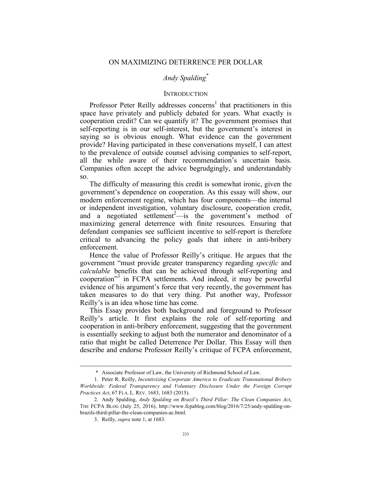# *Andy Spalding\**

# **INTRODUCTION**

Professor Peter Reilly addresses concerns<sup>1</sup> that practitioners in this space have privately and publicly debated for years. What exactly is cooperation credit? Can we quantify it? The government promises that self-reporting is in our self-interest, but the government's interest in saying so is obvious enough. What evidence can the government provide? Having participated in these conversations myself, I can attest to the prevalence of outside counsel advising companies to self-report, all the while aware of their recommendation's uncertain basis. Companies often accept the advice begrudgingly, and understandably so.

The difficulty of measuring this credit is somewhat ironic, given the government's dependence on cooperation. As this essay will show, our modern enforcement regime, which has four components—the internal or independent investigation, voluntary disclosure, cooperation credit, and a negotiated settlement<sup>2</sup>—is the government's method of maximizing general deterrence with finite resources. Ensuring that defendant companies see sufficient incentive to self-report is therefore critical to advancing the policy goals that inhere in anti-bribery enforcement.

Hence the value of Professor Reilly's critique. He argues that the government "must provide greater transparency regarding *specific* and *calculable* benefits that can be achieved through self-reporting and cooperation" <sup>3</sup> in FCPA settlements. And indeed, it may be powerful evidence of his argument's force that very recently, the government has taken measures to do that very thing. Put another way, Professor Reilly's is an idea whose time has come.

This Essay provides both background and foreground to Professor Reilly's article. It first explains the role of self-reporting and cooperation in anti-bribery enforcement, suggesting that the government is essentially seeking to adjust both the numerator and denominator of a ratio that might be called Deterrence Per Dollar. This Essay will then describe and endorse Professor Reilly's critique of FCPA enforcement,

 <sup>\*</sup> Associate Professor of Law, the University of Richmond School of Law.

<sup>1.</sup> Peter R. Reilly, *Incentivizing Corporate America to Eradicate Transnational Bribery Worldwide: Federal Transparency and Voluntary Disclosure Under the Foreign Corrupt Practices Act*, 67 FLA. L. REV. 1683, 1683 (2015).

<sup>2.</sup> Andy Spalding, *Andy Spalding on Brazil's Third Pillar: The Clean Companies Act*, THE FCPA BLOG (July 25, 2016), http://www.fcpablog.com/blog/2016/7/25/andy-spalding-onbrazils-third-pillar-the-clean-companies-ac.html.

<sup>3.</sup> Reilly, *supra* note 1, at 1683.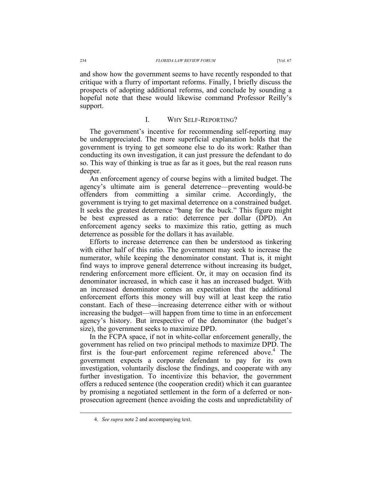and show how the government seems to have recently responded to that critique with a flurry of important reforms. Finally, I briefly discuss the prospects of adopting additional reforms, and conclude by sounding a hopeful note that these would likewise command Professor Reilly's support.

#### I. WHY SELF-REPORTING?

The government's incentive for recommending self-reporting may be underappreciated. The more superficial explanation holds that the government is trying to get someone else to do its work: Rather than conducting its own investigation, it can just pressure the defendant to do so. This way of thinking is true as far as it goes, but the real reason runs deeper.

An enforcement agency of course begins with a limited budget. The agency's ultimate aim is general deterrence—preventing would-be offenders from committing a similar crime. Accordingly, the government is trying to get maximal deterrence on a constrained budget. It seeks the greatest deterrence "bang for the buck." This figure might be best expressed as a ratio: deterrence per dollar (DPD). An enforcement agency seeks to maximize this ratio, getting as much deterrence as possible for the dollars it has available.

Efforts to increase deterrence can then be understood as tinkering with either half of this ratio. The government may seek to increase the numerator, while keeping the denominator constant. That is, it might find ways to improve general deterrence without increasing its budget, rendering enforcement more efficient. Or, it may on occasion find its denominator increased, in which case it has an increased budget. With an increased denominator comes an expectation that the additional enforcement efforts this money will buy will at least keep the ratio constant. Each of these—increasing deterrence either with or without increasing the budget—will happen from time to time in an enforcement agency's history. But irrespective of the denominator (the budget's size), the government seeks to maximize DPD.

In the FCPA space, if not in white-collar enforcement generally, the government has relied on two principal methods to maximize DPD. The first is the four-part enforcement regime referenced above.<sup>4</sup> The government expects a corporate defendant to pay for its own investigation, voluntarily disclose the findings, and cooperate with any further investigation. To incentivize this behavior, the government offers a reduced sentence (the cooperation credit) which it can guarantee by promising a negotiated settlement in the form of a deferred or nonprosecution agreement (hence avoiding the costs and unpredictability of

 <sup>4.</sup> *See supra* note 2 and accompanying text.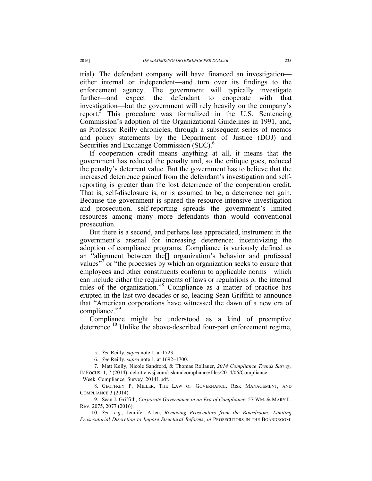trial). The defendant company will have financed an investigation either internal or independent—and turn over its findings to the enforcement agency. The government will typically investigate further—and expect the defendant to cooperate with that investigation—but the government will rely heavily on the company's report.<sup>3</sup> This procedure was formalized in the U.S. Sentencing Commission's adoption of the Organizational Guidelines in 1991, and, as Professor Reilly chronicles, through a subsequent series of memos and policy statements by the Department of Justice (DOJ) and Securities and Exchange Commission (SEC).<sup>6</sup>

If cooperation credit means anything at all, it means that the government has reduced the penalty and, so the critique goes, reduced the penalty's deterrent value. But the government has to believe that the increased deterrence gained from the defendant's investigation and selfreporting is greater than the lost deterrence of the cooperation credit. That is, self-disclosure is, or is assumed to be, a deterrence net gain. Because the government is spared the resource-intensive investigation and prosecution, self-reporting spreads the government's limited resources among many more defendants than would conventional prosecution.

But there is a second, and perhaps less appreciated, instrument in the government's arsenal for increasing deterrence: incentivizing the adoption of compliance programs. Compliance is variously defined as an "alignment between the[] organization's behavior and professed values"<sup>7</sup> or "the processes by which an organization seeks to ensure that employees and other constituents conform to applicable norms—which can include either the requirements of laws or regulations or the internal rules of the organization."<sup>8</sup> Compliance as a matter of practice has erupted in the last two decades or so, leading Sean Griffith to announce that "American corporations have witnessed the dawn of a new era of compliance." 9

Compliance might be understood as a kind of preemptive deterrence.<sup>10</sup> Unlike the above-described four-part enforcement regime,

\_Week\_Compliance\_Survey\_20141.pdf.

 <sup>5.</sup> *See* Reilly, *supra* note 1, at 1723.

<sup>6.</sup> *See* Reilly, *supra* note 1, at 1692–1700.

<sup>7.</sup> Matt Kelly, Nicole Sandford, & Thomas Rollauer, *2014 Compliance Trends Survey*, IN FOCUS, 1, 7 (2014), deloitte.wsj.com/riskandcompliance/files/2014/06/Compliance

<sup>8.</sup> GEOFFREY P. MILLER, THE LAW OF GOVERNANCE, RISK MANAGEMENT, AND COMPLIANCE 3 (2014).

<sup>9.</sup> Sean J. Griffith, *Corporate Governance in an Era of Compliance*, 57 WM. & MARY L. REV. 2075, 2077 (2016).

<sup>10.</sup> *See, e.g.*, Jennifer Arlen, *Removing Prosecutors from the Boardroom: Limiting Prosecutorial Discretion to Impose Structural Reforms*, *in* PROSECUTORS IN THE BOARDROOM: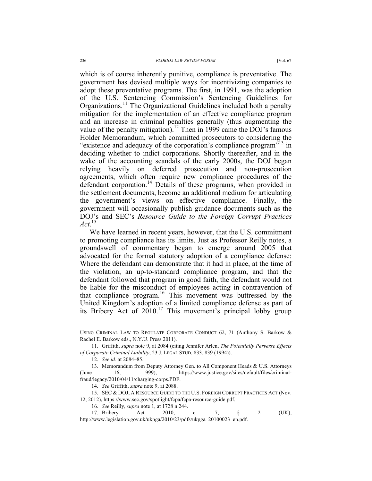which is of course inherently punitive, compliance is preventative. The government has devised multiple ways for incentivizing companies to adopt these preventative programs. The first, in 1991, was the adoption of the U.S. Sentencing Commission's Sentencing Guidelines for Organizations.<sup>11</sup> The Organizational Guidelines included both a penalty mitigation for the implementation of an effective compliance program and an increase in criminal penalties generally (thus augmenting the value of the penalty mitigation).<sup>12</sup> Then in 1999 came the DOJ's famous Holder Memorandum, which committed prosecutors to considering the "existence and adequacy of the corporation's compliance program<sup>513</sup> in deciding whether to indict corporations. Shortly thereafter, and in the wake of the accounting scandals of the early 2000s, the DOJ began relying heavily on deferred prosecution and non-prosecution agreements, which often require new compliance procedures of the

defendant corporation.<sup>14</sup> Details of these programs, when provided in the settlement documents, become an additional medium for articulating the government's views on effective compliance. Finally, the government will occasionally publish guidance documents such as the DOJ's and SEC's *Resource Guide to the Foreign Corrupt Practices Act*. 15

We have learned in recent years, however, that the U.S. commitment to promoting compliance has its limits. Just as Professor Reilly notes, a groundswell of commentary began to emerge around 2005 that advocated for the formal statutory adoption of a compliance defense: Where the defendant can demonstrate that it had in place, at the time of the violation, an up-to-standard compliance program, and that the defendant followed that program in good faith, the defendant would not be liable for the misconduct of employees acting in contravention of that compliance program.16 This movement was buttressed by the United Kingdom's adoption of a limited compliance defense as part of its Bribery Act of 2010.<sup>17</sup> This movement's principal lobby group

12. *See id.* at 2084–85.

14. *See* Griffith, *supra* note 9, at 2088.

15. SEC & DOJ, A RESOURCE GUIDE TO THE U.S. FOREIGN CORRUPT PRACTICES ACT (Nov. 12, 2012), https://www.sec.gov/spotlight/fcpa/fcpa-resource-guide.pdf.

16. *See* Reilly, *supra* note 1, at 1728 n.244.

17. Bribery Act 2010, c. 7, § 2 (UK), http://www.legislation.gov.uk/ukpga/2010/23/pdfs/ukpga\_20100023\_en.pdf.

USING CRIMINAL LAW TO REGULATE CORPORATE CONDUCT 62, 71 (Anthony S. Barkow & Rachel E. Barkow eds., N.Y.U. Press 2011).

<sup>11.</sup> Griffith, *supra* note 9, at 2084 (citing Jennifer Arlen, *The Potentially Perverse Effects of Corporate Criminal Liability*, 23 J. LEGAL STUD. 833, 839 (1994)).

<sup>13.</sup> Memorandum from Deputy Attorney Gen. to All Component Heads & U.S. Attorneys (June 16, 1999), https://www.justice.gov/sites/default/files/criminalfraud/legacy/2010/04/11/charging-corps.PDF.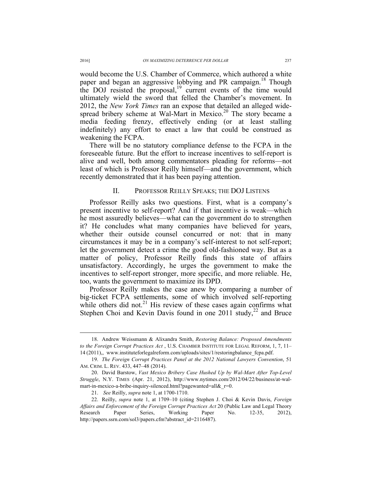would become the U.S. Chamber of Commerce, which authored a white paper and began an aggressive lobbying and PR campaign.<sup>18</sup> Though the DOJ resisted the proposal, $\frac{19}{12}$  current events of the time would ultimately wield the sword that felled the Chamber's movement. In 2012, the *New York Times* ran an expose that detailed an alleged widespread bribery scheme at Wal-Mart in Mexico.<sup>20</sup> The story became a media feeding frenzy, effectively ending (or at least stalling indefinitely) any effort to enact a law that could be construed as weakening the FCPA.

There will be no statutory compliance defense to the FCPA in the foreseeable future. But the effort to increase incentives to self-report is alive and well, both among commentators pleading for reforms—not least of which is Professor Reilly himself—and the government, which recently demonstrated that it has been paying attention.

### II. PROFESSOR REILLY SPEAKS; THE DOJ LISTENS

Professor Reilly asks two questions. First, what is a company's present incentive to self-report? And if that incentive is weak—which he most assuredly believes—what can the government do to strengthen it? He concludes what many companies have believed for years, whether their outside counsel concurred or not: that in many circumstances it may be in a company's self-interest to not self-report; let the government detect a crime the good old-fashioned way. But as a matter of policy, Professor Reilly finds this state of affairs unsatisfactory. Accordingly, he urges the government to make the incentives to self-report stronger, more specific, and more reliable. He, too, wants the government to maximize its DPD.

Professor Reilly makes the case anew by comparing a number of big-ticket FCPA settlements, some of which involved self-reporting while others did not. $21$  His review of these cases again confirms what Stephen Choi and Kevin Davis found in one 2011 study,  $2^2$  and Bruce

 <sup>18.</sup> Andrew Weissmann & Alixandra Smith, *Restoring Balance: Proposed Amendments to the Foreign Corrupt Practices Act* , U.S. CHAMBER INSTITUTE FOR LEGAL REFORM, 1, 7, 11– 14 (2011),, www.instituteforlegalreform.com/uploads/sites/1/restoringbalance\_fcpa.pdf.

<sup>19.</sup> *The Foreign Corrupt Practices Panel at the 2012 National Lawyers Convention*, 51 AM. CRIM. L. REV. 433, 447–48 (2014).

<sup>20.</sup> David Barstow, *Vast Mexico Bribery Case Hushed Up by Wal-Mart After Top-Level Struggle*, N.Y. TIMES (Apr. 21, 2012), http://www.nytimes.com/2012/04/22/business/at-walmart-in-mexico-a-bribe-inquiry-silenced.html?pagewanted=all& $r=0$ .

<sup>21.</sup> *See* Reilly, *supra* note 1, at 1700-1710.

<sup>22.</sup> Reilly, *supra* note 1, at 1709–10 (citing Stephen J. Choi & Kevin Davis, *Foreign Affairs and Enforcement of the Foreign Corrupt Practices Act* 20 (Public Law and Legal Theory Research Paper Series, Working Paper No. 12-35, 2012), http://papers.ssrn.com/sol3/papers.cfm?abstract\_id=2116487).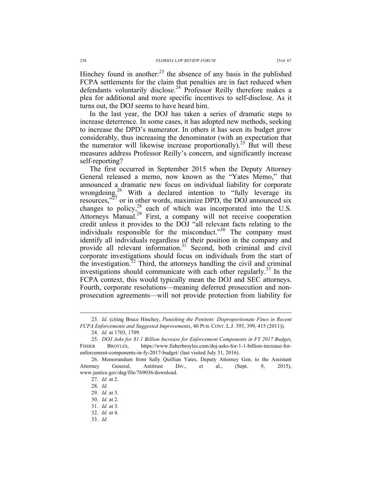Hinchey found in another: $^{23}$  the absence of any basis in the published FCPA settlements for the claim that penalties are in fact reduced when defendants voluntarily disclose.<sup>24</sup> Professor Reilly therefore makes a plea for additional and more specific incentives to self-disclose. As it turns out, the DOJ seems to have heard him.

In the last year, the DOJ has taken a series of dramatic steps to increase deterrence. In some cases, it has adopted new methods, seeking to increase the DPD's numerator. In others it has seen its budget grow considerably, thus increasing the denominator (with an expectation that the numerator will likewise increase proportionally).<sup>25</sup> But will these measures address Professor Reilly's concern, and significantly increase self-reporting?

The first occurred in September 2015 when the Deputy Attorney General released a memo, now known as the "Yates Memo," that announced a dramatic new focus on individual liability for corporate wrongdoing.<sup>26</sup> With a declared intention to "fully leverage its resources,"<sup>27</sup> or in other words, maximize DPD, the DOJ announced six changes to policy, $^{28}$  each of which was incorporated into the U.S. Attorneys Manual.<sup>29</sup> First, a company will not receive cooperation credit unless it provides to the DOJ "all relevant facts relating to the individuals responsible for the misconduct."<sup>30</sup> The company must identify all individuals regardless of their position in the company and provide all relevant information.<sup>31</sup> Second, both criminal and civil corporate investigations should focus on individuals from the start of the investigation. $32$  Third, the attorneys handling the civil and criminal investigations should communicate with each other regularly.<sup>33</sup> In the FCPA context, this would typically mean the DOJ and SEC attorneys. Fourth, corporate resolutions—meaning deferred prosecution and nonprosecution agreements—will not provide protection from liability for

 <sup>23.</sup> *Id*. (citing Bruce Hinchey, *Punishing the Penitent: Disproportionate Fines in Recent FCPA Enforcements and Suggested Improvements*, 40 PUB. CONT. L.J. 393, 399, 415 (2011)).

<sup>24.</sup> *Id.* at 1703, 1709.

<sup>25.</sup> *DOJ Asks for \$1.1 Billion Increase for Enforcement Components in FY 2017 Budget*, FISHER BROYLES, https://www.fisherbroyles.com/doj-asks-for-1-1-billion-increase-forenforcement-components-in-fy-2017-budget/ (last visited July 31, 2016).

<sup>26.</sup> Memorandum from Sally Quillian Yates, Deputy Attorney Gen. to the Assistant Attorney General, Antitrust Div., et al., (Sept. 9, 2015), www.justice.gov/dag/file/769036/download.

<sup>27.</sup> *Id.* at 2.

<sup>28.</sup> *Id.*

<sup>29.</sup> *Id.* at 3.

<sup>30.</sup> *Id.* at 2.

<sup>31.</sup> *Id.* at 3.

<sup>32.</sup> *Id.* at 4.

<sup>33.</sup> *Id.*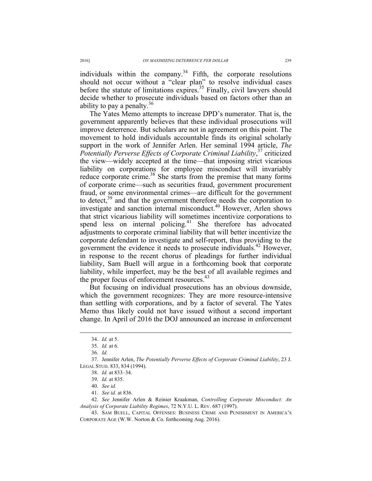individuals within the company.<sup>34</sup> Fifth, the corporate resolutions should not occur without a "clear plan" to resolve individual cases before the statute of limitations expires.<sup>35</sup> Finally, civil lawyers should decide whether to prosecute individuals based on factors other than an ability to pay a penalty.<sup>36</sup>

The Yates Memo attempts to increase DPD's numerator. That is, the government apparently believes that these individual prosecutions will improve deterrence. But scholars are not in agreement on this point. The movement to hold individuals accountable finds its original scholarly support in the work of Jennifer Arlen. Her seminal 1994 article, *The Potentially Perverse Effects of Corporate Criminal Liability*, <sup>37</sup> criticized the view—widely accepted at the time—that imposing strict vicarious liability on corporations for employee misconduct will invariably reduce corporate crime.<sup>38</sup> She starts from the premise that many forms of corporate crime—such as securities fraud, government procurement fraud, or some environmental crimes—are difficult for the government to detect,<sup>39</sup> and that the government therefore needs the corporation to investigate and sanction internal misconduct.<sup>40</sup> However, Arlen shows that strict vicarious liability will sometimes incentivize corporations to spend less on internal policing.<sup>41</sup> She therefore has advocated adjustments to corporate criminal liability that will better incentivize the corporate defendant to investigate and self-report, thus providing to the government the evidence it needs to prosecute individuals.42 However, in response to the recent chorus of pleadings for further individual liability, Sam Buell will argue in a forthcoming book that corporate liability, while imperfect, may be the best of all available regimes and the proper focus of enforcement resources.<sup>43</sup>

But focusing on individual prosecutions has an obvious downside, which the government recognizes: They are more resource-intensive than settling with corporations, and by a factor of several. The Yates Memo thus likely could not have issued without a second important change. In April of 2016 the DOJ announced an increase in enforcement

 <sup>34.</sup> *Id.* at 5.

<sup>35.</sup> *Id.* at 6.

<sup>36.</sup> *Id.* 

<sup>37.</sup> Jennifer Arlen, *The Potentially Perverse Effects of Corporate Criminal Liability*, 23 J. LEGAL STUD. 833, 834 (1994).

<sup>38.</sup> *Id.* at 833–34.

<sup>39.</sup> *Id.* at 835.

<sup>40.</sup> *See id.*

<sup>41.</sup> *See id.* at 836.

<sup>42.</sup> *See* Jennifer Arlen & Reinier Kraakman, *Controlling Corporate Misconduct: An Analysis of Corporate Liability Regimes*, 72 N.Y.U. L. REV. 687 (1997).

<sup>43.</sup> SAM BUELL, CAPITAL OFFENSES: BUSINESS CRIME AND PUNISHMENT IN AMERICA'S CORPORATE AGE (W.W. Norton & Co. forthcoming Aug. 2016).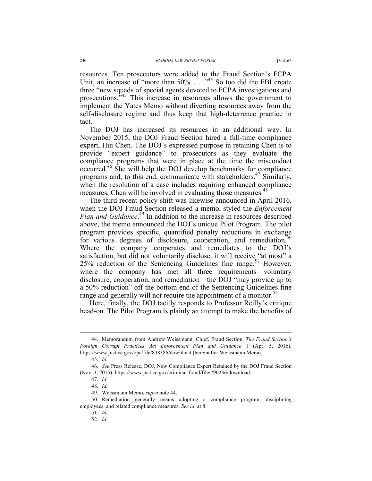resources. Ten prosecutors were added to the Fraud Section's FCPA Unit, an increase of "more than 50%. . . . .<sup>44</sup> So too did the FBI create three "new squads of special agents devoted to FCPA investigations and prosecutions.<sup>345</sup> This increase in resources allows the government to implement the Yates Memo without diverting resources away from the self-disclosure regime and thus keep that high-deterrence practice in tact.

The DOJ has increased its resources in an additional way. In November 2015, the DOJ Fraud Section hired a full-time compliance expert, Hui Chen. The DOJ's expressed purpose in retaining Chen is to provide "expert guidance" to prosecutors as they evaluate the compliance programs that were in place at the time the misconduct occurred.46 She will help the DOJ develop benchmarks for compliance programs and, to this end, communicate with stakeholders.<sup>47</sup> Similarly, when the resolution of a case includes requiring enhanced compliance measures, Chen will be involved in evaluating those measures.<sup>48</sup>

The third recent policy shift was likewise announced in April 2016, when the DOJ Fraud Section released a memo, styled the *Enforcement Plan and Guidance*. <sup>49</sup> In addition to the increase in resources described above, the memo announced the DOJ's unique Pilot Program. The pilot program provides specific, quantified penalty reductions in exchange for various degrees of disclosure, cooperation, and remediation.<sup>50</sup> Where the company cooperates and remediates to the DOJ's satisfaction, but did not voluntarily disclose, it will receive "at most" a  $25\%$  reduction of the Sentencing Guidelines fine range.<sup>51</sup> However, where the company has met all three requirements—voluntary disclosure, cooperation, and remediation—the DOJ "may provide up to a 50% reduction" off the bottom end of the Sentencing Guidelines fine range and generally will not require the appointment of a monitor.<sup>52</sup>

Here, finally, the DOJ tacitly responds to Professor Reilly's critique head-on. The Pilot Program is plainly an attempt to make the benefits of

 <sup>44.</sup> Memorandum from Andrew Weissmann, Chief, Fraud Section, *The Fraud Section's Foreign Corrupt Practices Act Enforcement Plan and Guidance* 1 (Apr. 5, 2016), https://www.justice.gov/opa/file/838386/download [hereinafter Weissmann Memo].

<sup>45.</sup> *Id.* 

<sup>46.</sup> *See* Press Release, DOJ, New Compliance Expert Retained by the DOJ Fraud Section (Nov. 3, 2015), https://www.justice.gov/criminal-fraud/file/790236/download.

<sup>47.</sup> *Id.*

<sup>48.</sup> *Id.*

<sup>49.</sup> Weissmann Memo, *supra* note 44.

<sup>50.</sup> Remediation generally means adopting a compliance program, disciplining employees, and related compliance measures. *See id.* at 8.

<sup>51.</sup> *Id.*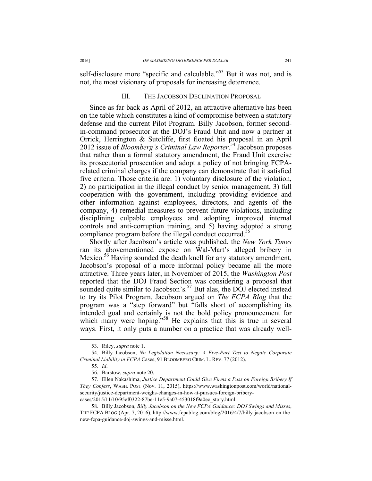self-disclosure more "specific and calculable."<sup>53</sup> But it was not, and is not, the most visionary of proposals for increasing deterrence.

#### III. THE JACOBSON DECLINATION PROPOSAL

Since as far back as April of 2012, an attractive alternative has been on the table which constitutes a kind of compromise between a statutory defense and the current Pilot Program. Billy Jacobson, former secondin-command prosecutor at the DOJ's Fraud Unit and now a partner at Orrick, Herrington & Sutcliffe, first floated his proposal in an April 2012 issue of *Bloomberg's Criminal Law Reporter*. <sup>54</sup> Jacobson proposes that rather than a formal statutory amendment, the Fraud Unit exercise its prosecutorial prosecution and adopt a policy of not bringing FCPArelated criminal charges if the company can demonstrate that it satisfied five criteria. Those criteria are: 1) voluntary disclosure of the violation, 2) no participation in the illegal conduct by senior management, 3) full cooperation with the government, including providing evidence and other information against employees, directors, and agents of the company, 4) remedial measures to prevent future violations, including disciplining culpable employees and adopting improved internal controls and anti-corruption training, and 5) having adopted a strong compliance program before the illegal conduct occurred.<sup>55</sup>

Shortly after Jacobson's article was published, the *New York Times* ran its abovementioned expose on Wal-Mart's alleged bribery in Mexico.<sup>56</sup> Having sounded the death knell for any statutory amendment, Jacobson's proposal of a more informal policy became all the more attractive. Three years later, in November of 2015, the *Washington Post* reported that the DOJ Fraud Section was considering a proposal that sounded quite similar to Jacobson's.<sup>57</sup> But alas, the DOJ elected instead to try its Pilot Program. Jacobson argued on *The FCPA Blog* that the program was a "step forward" but "falls short of accomplishing its intended goal and certainly is not the bold policy pronouncement for which many were hoping."<sup>58</sup> He explains that this is true in several ways. First, it only puts a number on a practice that was already well-

 <sup>53.</sup> Riley, *supra* note 1.

<sup>54.</sup> Billy Jacobson, *No Legislation Necessary: A Five-Part Test to Negate Corporate Criminal Liability in FCPA* Cases, 91 BLOOMBERG CRIM. L. REV. 77 (2012).

<sup>55.</sup> *Id*.

<sup>56.</sup> Barstow, *supra* note 20.

<sup>57.</sup> Ellen Nakashima, *Justice Department Could Give Firms a Pass on Foreign Bribery If They Confess*, WASH. POST (Nov. 11, 2015), https://www.washingtonpost.com/world/nationalsecurity/justice-department-weighs-changes-in-how-it-pursues-foreign-briberycases/2015/11/10/95ef0322-87be-11e5-9a07-453018f9a0ec\_story.html.

<sup>58.</sup> Billy Jacobson, *Billy Jacobson on the New FCPA Guidance: DOJ Swings and Misses*, THE FCPA BLOG (Apr. 7, 2016), http://www.fcpablog.com/blog/2016/4/7/billy-jacobson-on-thenew-fcpa-guidance-doj-swings-and-misse.html.